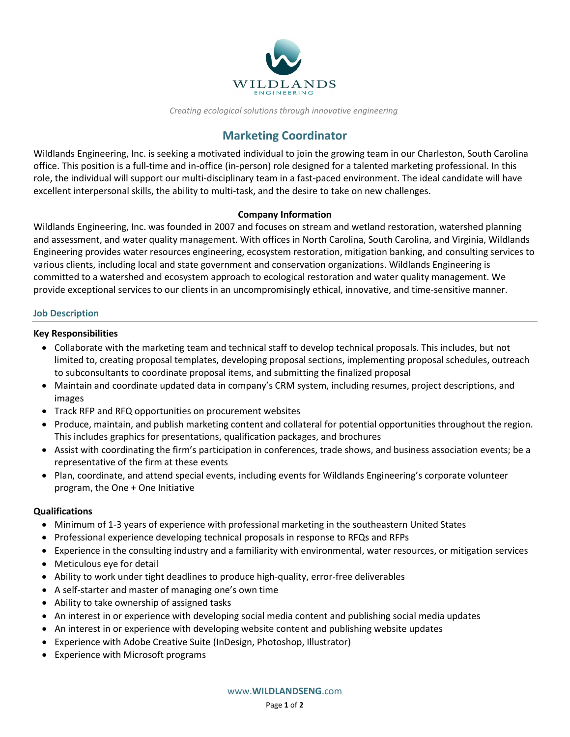

*Creating ecological solutions through innovative engineering*

# **Marketing Coordinator**

Wildlands Engineering, Inc. is seeking a motivated individual to join the growing team in our Charleston, South Carolina office. This position is a full-time and in-office (in-person) role designed for a talented marketing professional. In this role, the individual will support our multi-disciplinary team in a fast-paced environment. The ideal candidate will have excellent interpersonal skills, the ability to multi-task, and the desire to take on new challenges.

## **Company Information**

Wildlands Engineering, Inc. was founded in 2007 and focuses on stream and wetland restoration, watershed planning and assessment, and water quality management. With offices in North Carolina, South Carolina, and Virginia, Wildlands Engineering provides water resources engineering, ecosystem restoration, mitigation banking, and consulting services to various clients, including local and state government and conservation organizations. Wildlands Engineering is committed to a watershed and ecosystem approach to ecological restoration and water quality management. We provide exceptional services to our clients in an uncompromisingly ethical, innovative, and time-sensitive manner.

## **Job Description**

## **Key Responsibilities**

- Collaborate with the marketing team and technical staff to develop technical proposals. This includes, but not limited to, creating proposal templates, developing proposal sections, implementing proposal schedules, outreach to subconsultants to coordinate proposal items, and submitting the finalized proposal
- Maintain and coordinate updated data in company's CRM system, including resumes, project descriptions, and images
- Track RFP and RFQ opportunities on procurement websites
- Produce, maintain, and publish marketing content and collateral for potential opportunities throughout the region. This includes graphics for presentations, qualification packages, and brochures
- Assist with coordinating the firm's participation in conferences, trade shows, and business association events; be a representative of the firm at these events
- Plan, coordinate, and attend special events, including events for Wildlands Engineering's corporate volunteer program, the One + One Initiative

## **Qualifications**

- Minimum of 1-3 years of experience with professional marketing in the southeastern United States
- Professional experience developing technical proposals in response to RFQs and RFPs
- Experience in the consulting industry and a familiarity with environmental, water resources, or mitigation services
- Meticulous eye for detail
- Ability to work under tight deadlines to produce high-quality, error-free deliverables
- A self-starter and master of managing one's own time
- Ability to take ownership of assigned tasks
- An interest in or experience with developing social media content and publishing social media updates
- An interest in or experience with developing website content and publishing website updates
- Experience with Adobe Creative Suite (InDesign, Photoshop, Illustrator)
- Experience with Microsoft programs